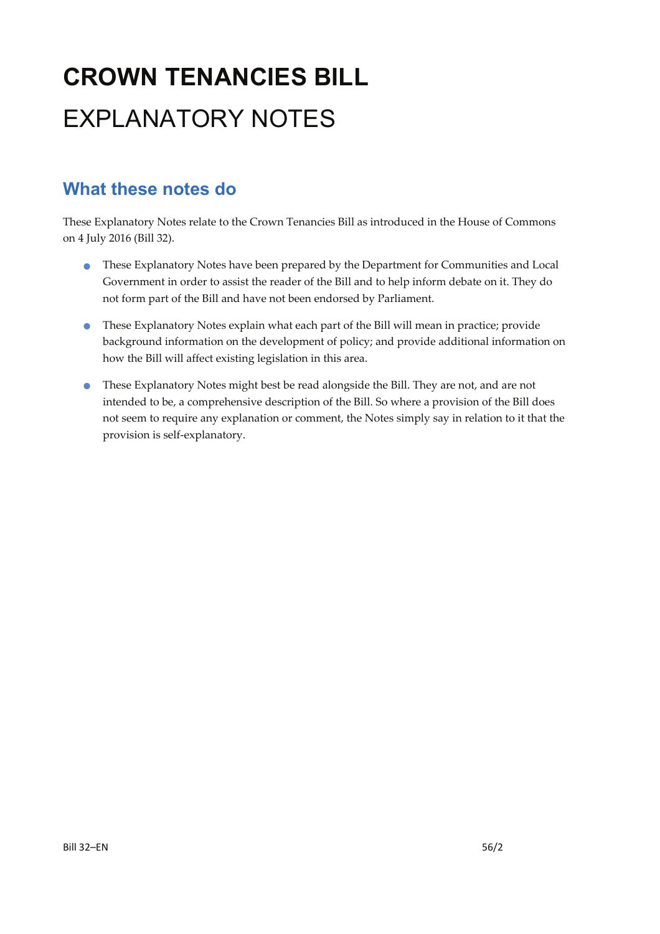# **CROWN TENANCIES BILL**  EXPLANATORY NOTES

### **What these notes do**

These Explanatory Notes relate to the Crown Tenancies Bill as introduced in the House of Commons on 4 July 2016 (Bill 32).

- These Explanatory Notes have been prepared by the Department for Communities and Local Government in order to assist the reader of the Bill and to help inform debate on it. They do not form part of the Bill and have not been endorsed by Parliament.
- These Explanatory Notes explain what each part of the Bill will mean in practice; provide background information on the development of policy; and provide additional information on how the Bill will affect existing legislation in this area.
- These Explanatory Notes might best be read alongside the Bill. They are not, and are not intended to be, a comprehensive description of the Bill. So where a provision of the Bill does not seem to require any explanation or comment, the Notes simply say in relation to it that the provision is self‐explanatory.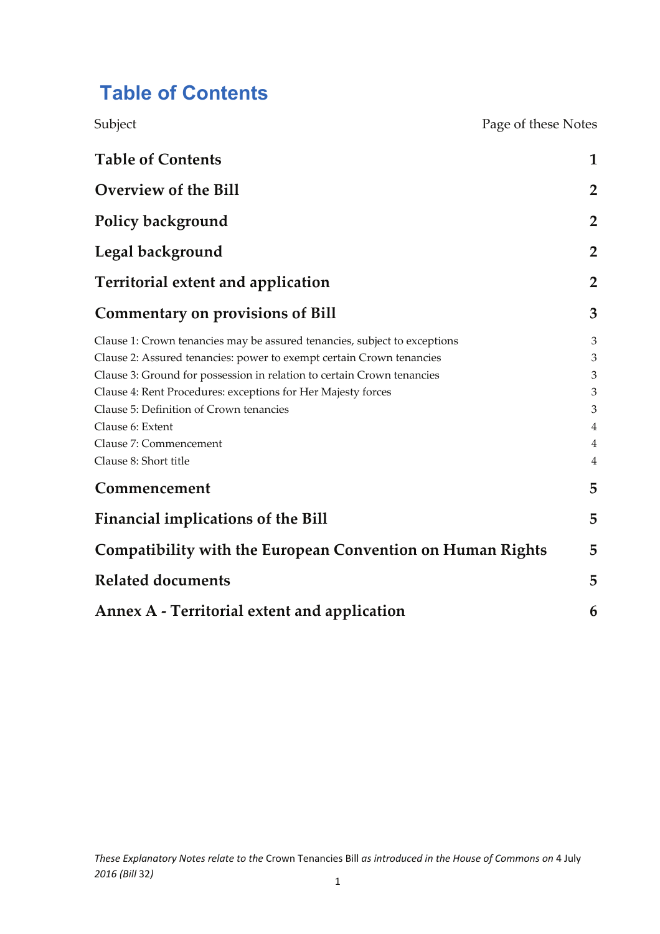# **Table of Contents**

| Subject                                                                   | Page of these Notes |
|---------------------------------------------------------------------------|---------------------|
| <b>Table of Contents</b>                                                  | 1                   |
| <b>Overview of the Bill</b>                                               | $\overline{2}$      |
| Policy background                                                         | $\overline{2}$      |
| Legal background                                                          | $\overline{2}$      |
| <b>Territorial extent and application</b>                                 | $\overline{2}$      |
| <b>Commentary on provisions of Bill</b>                                   | 3                   |
| Clause 1: Crown tenancies may be assured tenancies, subject to exceptions | 3                   |
| Clause 2: Assured tenancies: power to exempt certain Crown tenancies      | 3                   |
| Clause 3: Ground for possession in relation to certain Crown tenancies    | 3                   |
| Clause 4: Rent Procedures: exceptions for Her Majesty forces              | 3                   |
| Clause 5: Definition of Crown tenancies                                   | 3                   |
| Clause 6: Extent                                                          | 4                   |
| Clause 7: Commencement                                                    | 4                   |
| Clause 8: Short title                                                     | 4                   |
| Commencement                                                              | 5                   |
| <b>Financial implications of the Bill</b>                                 | 5                   |
| <b>Compatibility with the European Convention on Human Rights</b>         | 5                   |
| <b>Related documents</b>                                                  | 5                   |
| Annex A - Territorial extent and application                              | 6                   |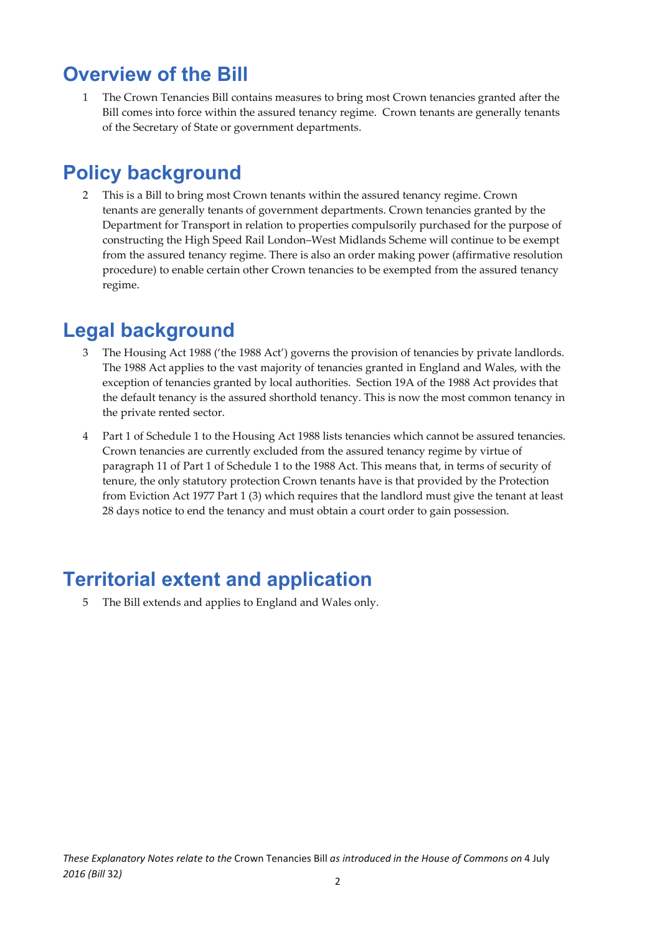### **Overview of the Bill**

1 The Crown Tenancies Bill contains measures to bring most Crown tenancies granted after the Bill comes into force within the assured tenancy regime. Crown tenants are generally tenants of the Secretary of State or government departments.

### **Policy background**

2 This is a Bill to bring most Crown tenants within the assured tenancy regime. Crown tenants are generally tenants of government departments. Crown tenancies granted by the Department for Transport in relation to properties compulsorily purchased for the purpose of constructing the High Speed Rail London–West Midlands Scheme will continue to be exempt from the assured tenancy regime. There is also an order making power (affirmative resolution procedure) to enable certain other Crown tenancies to be exempted from the assured tenancy regime.

### **Legal background**

- 3 The Housing Act 1988 ('the 1988 Act') governs the provision of tenancies by private landlords. The 1988 Act applies to the vast majority of tenancies granted in England and Wales, with the exception of tenancies granted by local authorities. Section 19A of the 1988 Act provides that the default tenancy is the assured shorthold tenancy. This is now the most common tenancy in the private rented sector.
- 4 Part 1 of Schedule 1 to the Housing Act 1988 lists tenancies which cannot be assured tenancies. Crown tenancies are currently excluded from the assured tenancy regime by virtue of paragraph 11 of Part 1 of Schedule 1 to the 1988 Act. This means that, in terms of security of tenure, the only statutory protection Crown tenants have is that provided by the Protection from Eviction Act 1977 Part 1 (3) which requires that the landlord must give the tenant at least 28 days notice to end the tenancy and must obtain a court order to gain possession.

# **Territorial extent and application**

5 The Bill extends and applies to England and Wales only.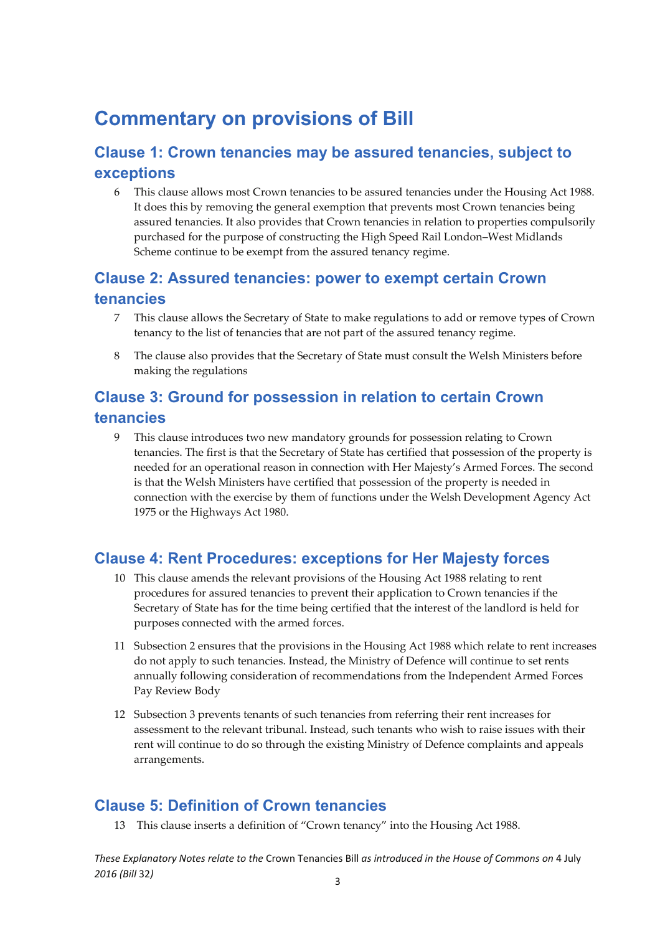## **Commentary on provisions of Bill**

#### **Clause 1: Crown tenancies may be assured tenancies, subject to exceptions**

6 This clause allows most Crown tenancies to be assured tenancies under the Housing Act 1988. It does this by removing the general exemption that prevents most Crown tenancies being assured tenancies. It also provides that Crown tenancies in relation to properties compulsorily purchased for the purpose of constructing the High Speed Rail London–West Midlands Scheme continue to be exempt from the assured tenancy regime.

#### **Clause 2: Assured tenancies: power to exempt certain Crown tenancies**

- 7 This clause allows the Secretary of State to make regulations to add or remove types of Crown tenancy to the list of tenancies that are not part of the assured tenancy regime.
- 8 The clause also provides that the Secretary of State must consult the Welsh Ministers before making the regulations

#### **Clause 3: Ground for possession in relation to certain Crown tenancies**

9 This clause introduces two new mandatory grounds for possession relating to Crown tenancies. The first is that the Secretary of State has certified that possession of the property is needed for an operational reason in connection with Her Majesty's Armed Forces. The second is that the Welsh Ministers have certified that possession of the property is needed in connection with the exercise by them of functions under the Welsh Development Agency Act 1975 or the Highways Act 1980.

#### **Clause 4: Rent Procedures: exceptions for Her Majesty forces**

- 10 This clause amends the relevant provisions of the Housing Act 1988 relating to rent procedures for assured tenancies to prevent their application to Crown tenancies if the Secretary of State has for the time being certified that the interest of the landlord is held for purposes connected with the armed forces.
- 11 Subsection 2 ensures that the provisions in the Housing Act 1988 which relate to rent increases do not apply to such tenancies. Instead, the Ministry of Defence will continue to set rents annually following consideration of recommendations from the Independent Armed Forces Pay Review Body
- 12 Subsection 3 prevents tenants of such tenancies from referring their rent increases for assessment to the relevant tribunal. Instead, such tenants who wish to raise issues with their rent will continue to do so through the existing Ministry of Defence complaints and appeals arrangements.

#### **Clause 5: Definition of Crown tenancies**

13 This clause inserts a definition of "Crown tenancy" into the Housing Act 1988.

*These Explanatory Notes relate to the* Crown Tenancies Bill *as introduced in the House of Commons on* 4 July *2016 (Bill* 32*)* 3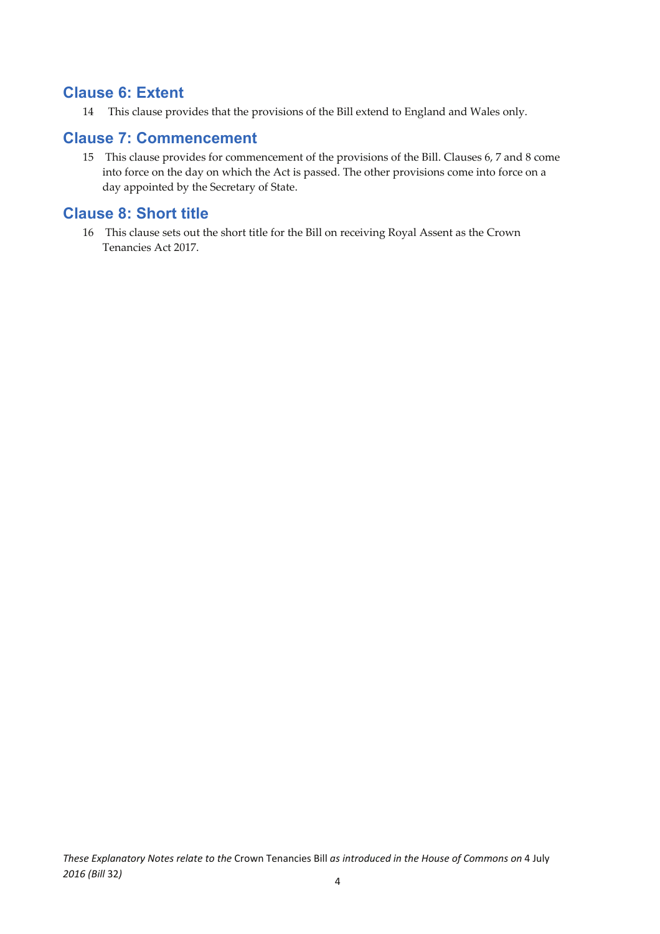#### **Clause 6: Extent**

14 This clause provides that the provisions of the Bill extend to England and Wales only.

#### **Clause 7: Commencement**

15 This clause provides for commencement of the provisions of the Bill. Clauses 6, 7 and 8 come into force on the day on which the Act is passed. The other provisions come into force on a day appointed by the Secretary of State.

#### **Clause 8: Short title**

16 This clause sets out the short title for the Bill on receiving Royal Assent as the Crown Tenancies Act 2017.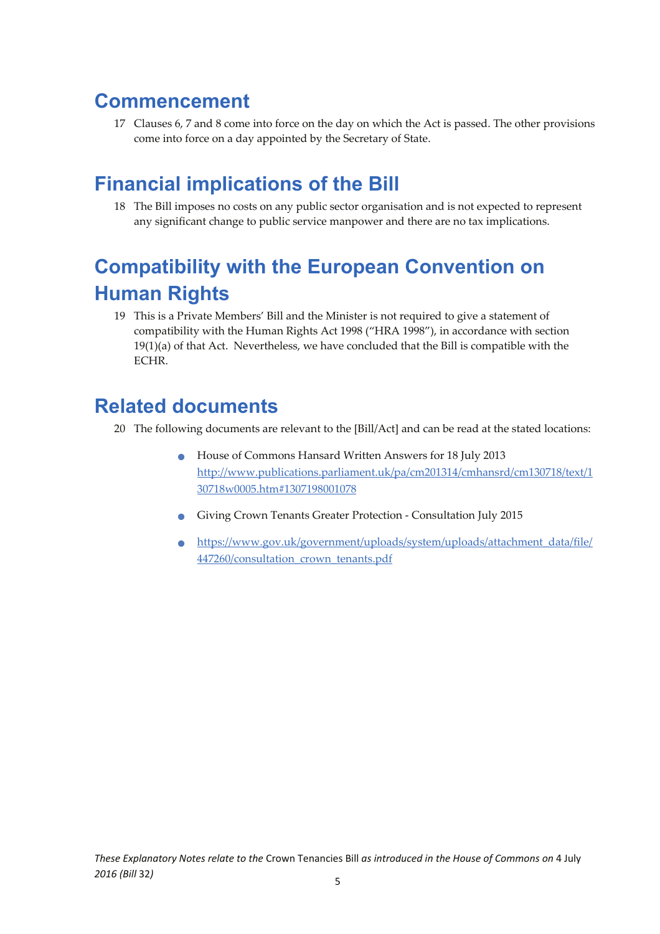## **Commencement**

17 Clauses 6, 7 and 8 come into force on the day on which the Act is passed. The other provisions come into force on a day appointed by the Secretary of State.

# **Financial implications of the Bill**

18 The Bill imposes no costs on any public sector organisation and is not expected to represent any significant change to public service manpower and there are no tax implications.

# **Compatibility with the European Convention on Human Rights**

19 This is a Private Members' Bill and the Minister is not required to give a statement of compatibility with the Human Rights Act 1998 ("HRA 1998"), in accordance with section  $19(1)(a)$  of that Act. Nevertheless, we have concluded that the Bill is compatible with the ECHR.

### **Related documents**

- 20 The following documents are relevant to the [Bill/Act] and can be read at the stated locations:
	- House of Commons Hansard Written Answers for <sup>18</sup> July <sup>2013</sup> http://www.publications.parliament.uk/pa/cm201314/cmhansrd/cm130718/text/1 30718w0005.htm#1307198001078
	- Giving Crown Tenants Greater Protection ‐ Consultation July <sup>2015</sup>
	- https://www.gov.uk/government/uploads/system/uploads/attachment\_data/file/ 447260/consultation\_crown\_tenants.pdf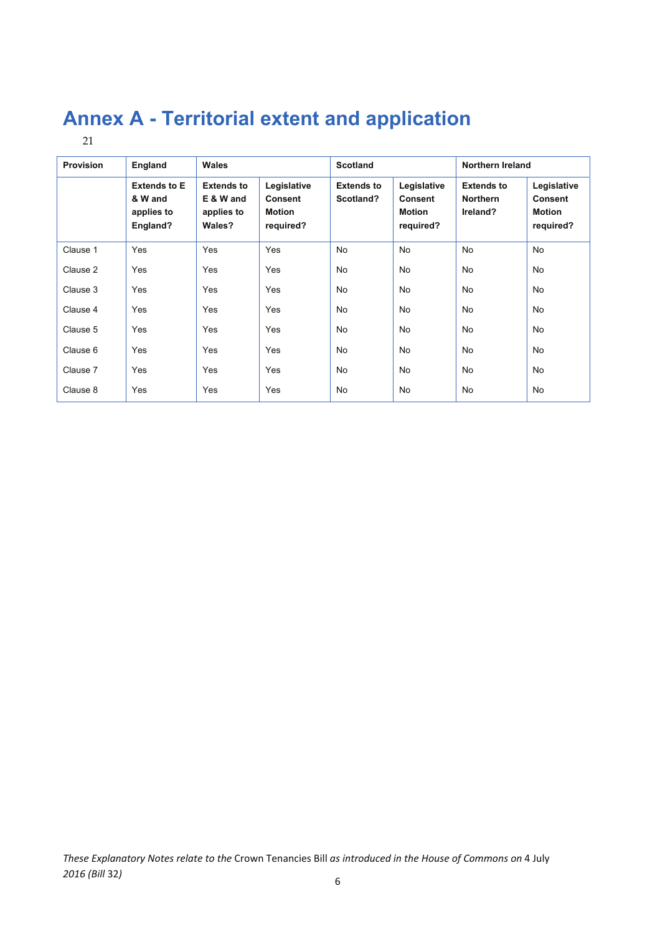# **Annex A - Territorial extent and application**

| × | ۰, |
|---|----|
|   |    |

| <b>Provision</b> | England                                                  | <b>Wales</b>                                           |                                                      | <b>Scotland</b>                |                                                      | <b>Northern Ireland</b>                          |                                                      |
|------------------|----------------------------------------------------------|--------------------------------------------------------|------------------------------------------------------|--------------------------------|------------------------------------------------------|--------------------------------------------------|------------------------------------------------------|
|                  | <b>Extends to E</b><br>& W and<br>applies to<br>England? | <b>Extends to</b><br>E & W and<br>applies to<br>Wales? | Legislative<br><b>Consent</b><br>Motion<br>required? | <b>Extends to</b><br>Scotland? | Legislative<br><b>Consent</b><br>Motion<br>required? | <b>Extends to</b><br><b>Northern</b><br>Ireland? | Legislative<br><b>Consent</b><br>Motion<br>required? |
| Clause 1         | Yes                                                      | Yes                                                    | Yes                                                  | <b>No</b>                      | <b>No</b>                                            | <b>No</b>                                        | <b>No</b>                                            |
| Clause 2         | Yes                                                      | Yes                                                    | Yes                                                  | <b>No</b>                      | <b>No</b>                                            | <b>No</b>                                        | No                                                   |
| Clause 3         | Yes                                                      | Yes                                                    | Yes                                                  | No                             | <b>No</b>                                            | <b>No</b>                                        | No                                                   |
| Clause 4         | Yes                                                      | Yes                                                    | Yes                                                  | No                             | <b>No</b>                                            | <b>No</b>                                        | No                                                   |
| Clause 5         | Yes                                                      | Yes                                                    | Yes                                                  | No                             | <b>No</b>                                            | <b>No</b>                                        | No                                                   |
| Clause 6         | Yes                                                      | Yes                                                    | Yes                                                  | No                             | <b>No</b>                                            | <b>No</b>                                        | No                                                   |
| Clause 7         | Yes                                                      | Yes                                                    | Yes                                                  | No                             | <b>No</b>                                            | <b>No</b>                                        | No                                                   |
| Clause 8         | Yes                                                      | Yes                                                    | Yes                                                  | No                             | <b>No</b>                                            | <b>No</b>                                        | <b>No</b>                                            |